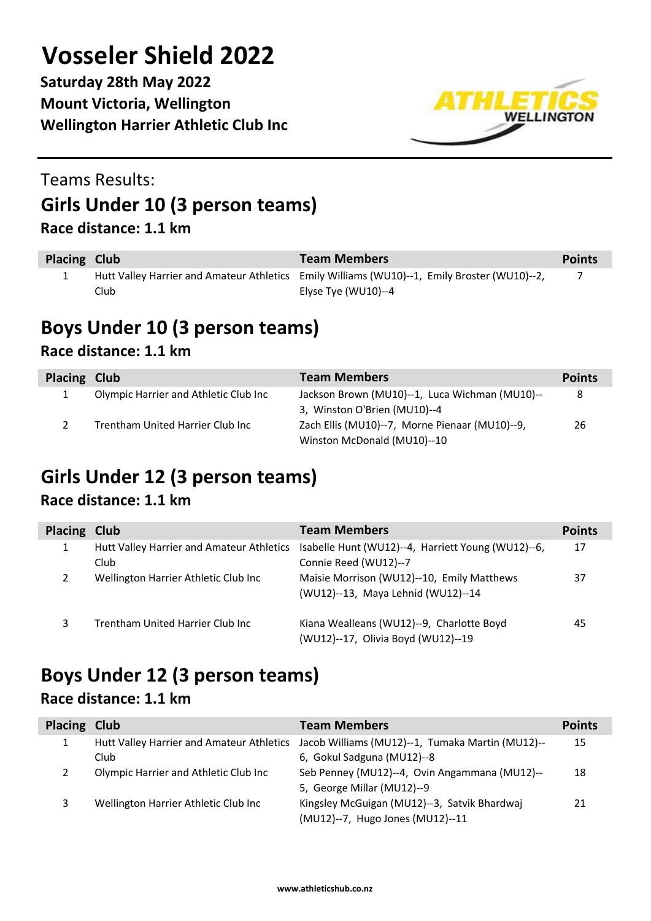**Saturday 28th May 2022 Mount Victoria, Wellington Wellington Harrier Athletic Club Inc**



### Teams Results: **Girls Under 10 (3 person teams) Race distance: 1.1 km**

| Placing Club |       | <b>Team Members</b>                                                                          | <b>Points</b> |
|--------------|-------|----------------------------------------------------------------------------------------------|---------------|
|              |       | Hutt Valley Harrier and Amateur Athletics Emily Williams (WU10)--1, Emily Broster (WU10)--2, |               |
|              | Club. | Elyse Tye (WU10)--4                                                                          |               |

## **Boys Under 10 (3 person teams)**

#### **Race distance: 1.1 km**

| Placing Club |                                       | <b>Team Members</b>                            | <b>Points</b> |
|--------------|---------------------------------------|------------------------------------------------|---------------|
|              | Olympic Harrier and Athletic Club Inc | Jackson Brown (MU10)--1, Luca Wichman (MU10)-- | 8             |
|              |                                       | 3, Winston O'Brien (MU10)--4                   |               |
|              | Trentham United Harrier Club Inc      | Zach Ellis (MU10)--7, Morne Pienaar (MU10)--9, | 26            |
|              |                                       | Winston McDonald (MU10)--10                    |               |

## **Girls Under 12 (3 person teams)**

#### **Race distance: 1.1 km**

| Placing Club |                                                   | <b>Team Members</b>                                                              | <b>Points</b> |
|--------------|---------------------------------------------------|----------------------------------------------------------------------------------|---------------|
|              | Hutt Valley Harrier and Amateur Athletics<br>Club | Isabelle Hunt (WU12)--4, Harriett Young (WU12)--6,<br>Connie Reed (WU12)--7      | 17            |
|              | Wellington Harrier Athletic Club Inc              | Maisie Morrison (WU12)--10, Emily Matthews<br>(WU12)--13, Maya Lehnid (WU12)--14 | 37            |
| 3            | Trentham United Harrier Club Inc                  | Kiana Wealleans (WU12)--9, Charlotte Boyd<br>(WU12)--17, Olivia Boyd (WU12)--19  | 45            |

## **Boys Under 12 (3 person teams)**

#### **Race distance: 1.1 km**

| Placing Club |                                           | <b>Team Members</b>                              | <b>Points</b> |
|--------------|-------------------------------------------|--------------------------------------------------|---------------|
|              | Hutt Valley Harrier and Amateur Athletics | Jacob Williams (MU12)--1, Tumaka Martin (MU12)-- | 15            |
|              | Club                                      | 6, Gokul Sadguna (MU12)--8                       |               |
|              | Olympic Harrier and Athletic Club Inc     | Seb Penney (MU12)--4, Ovin Angammana (MU12)--    | 18            |
|              |                                           | 5, George Millar (MU12)--9                       |               |
|              | Wellington Harrier Athletic Club Inc      | Kingsley McGuigan (MU12)--3, Satvik Bhardwaj     | 21            |
|              |                                           | (MU12)--7, Hugo Jones (MU12)--11                 |               |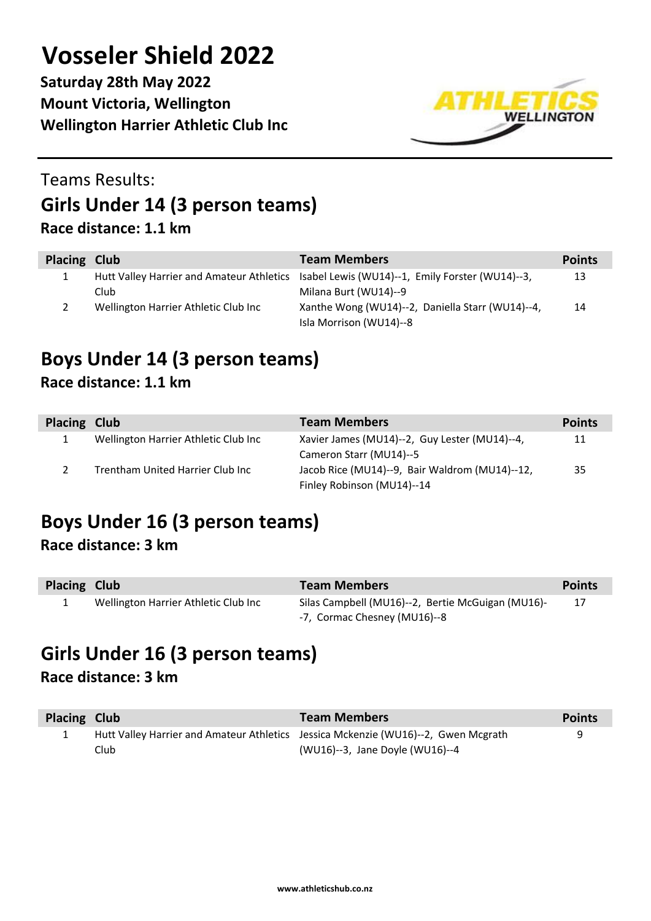**Saturday 28th May 2022 Mount Victoria, Wellington Wellington Harrier Athletic Club Inc**



### Teams Results: **Girls Under 14 (3 person teams) Race distance: 1.1 km**

| Placing Club |                                           | <b>Team Members</b>                              | <b>Points</b> |
|--------------|-------------------------------------------|--------------------------------------------------|---------------|
| 1            | Hutt Valley Harrier and Amateur Athletics | Isabel Lewis (WU14)--1, Emily Forster (WU14)--3, | 13            |
|              | Club                                      | Milana Burt (WU14)--9                            |               |
|              | Wellington Harrier Athletic Club Inc      | Xanthe Wong (WU14)--2, Daniella Starr (WU14)--4, | 14            |
|              |                                           | Isla Morrison (WU14)--8                          |               |

#### **Boys Under 14 (3 person teams) Race distance: 1.1 km**

| Placing Club |                                      | <b>Team Members</b>                            | <b>Points</b> |
|--------------|--------------------------------------|------------------------------------------------|---------------|
|              | Wellington Harrier Athletic Club Inc | Xavier James (MU14)--2, Guy Lester (MU14)--4,  | 11            |
|              |                                      | Cameron Starr (MU14)--5                        |               |
|              | Trentham United Harrier Club Inc     | Jacob Rice (MU14)--9, Bair Waldrom (MU14)--12, | 35            |
|              |                                      | Finley Robinson (MU14)--14                     |               |

## **Boys Under 16 (3 person teams)**

#### **Race distance: 3 km**

| Placing Club |                                      | <b>Team Members</b>                               | <b>Points</b> |
|--------------|--------------------------------------|---------------------------------------------------|---------------|
|              | Wellington Harrier Athletic Club Inc | Silas Campbell (MU16)--2, Bertie McGuigan (MU16)- | 17            |
|              |                                      | -7, Cormac Chesney (MU16)--8                      |               |

## **Girls Under 16 (3 person teams)**

#### **Race distance: 3 km**

| Placing Club |       | <b>Team Members</b>                                                                | <b>Points</b> |
|--------------|-------|------------------------------------------------------------------------------------|---------------|
|              |       | Hutt Valley Harrier and Amateur Athletics Jessica Mckenzie (WU16)--2, Gwen Mcgrath |               |
|              | Club. | (WU16)--3, Jane Doyle (WU16)--4                                                    |               |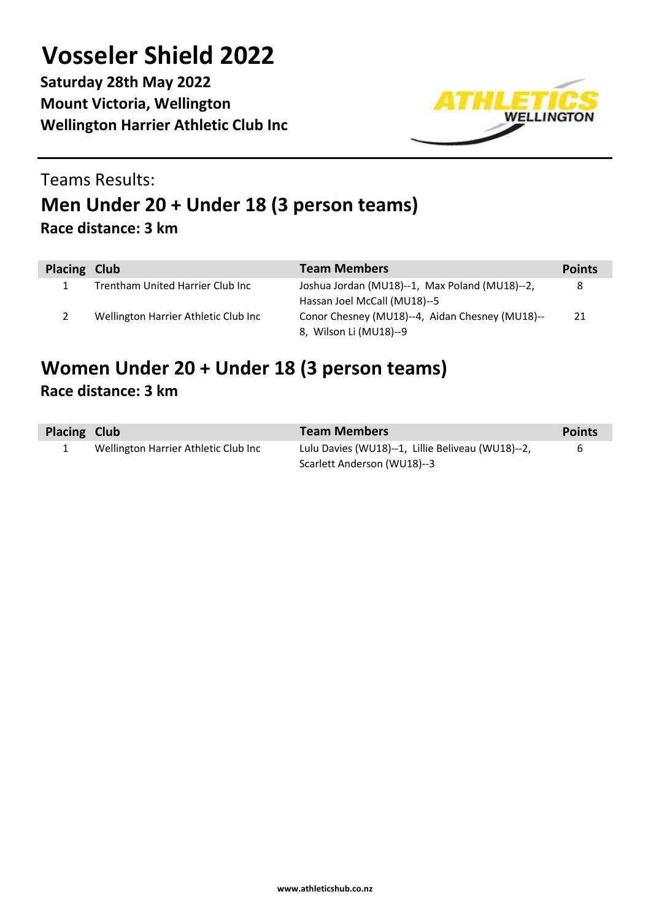**Saturday 28th May 2022 Mount Victoria, Wellington Wellington Harrier Athletic Club Inc**



### Teams Results: **Men Under 20 + Under 18 (3 person teams) Race distance: 3 km**

| Placing Club |                                      | <b>Team Members</b>                             | <b>Points</b> |
|--------------|--------------------------------------|-------------------------------------------------|---------------|
|              | Trentham United Harrier Club Inc     | Joshua Jordan (MU18)--1, Max Poland (MU18)--2,  | 8             |
|              |                                      | Hassan Joel McCall (MU18)--5                    |               |
|              | Wellington Harrier Athletic Club Inc | Conor Chesney (MU18)--4, Aidan Chesney (MU18)-- | 21            |
|              |                                      | 8, Wilson Li (MU18)--9                          |               |

#### **Women Under 20 + Under 18 (3 person teams) Race distance: 3 km**

| Placing Club |                                      | <b>Team Members</b>                               | <b>Points</b> |
|--------------|--------------------------------------|---------------------------------------------------|---------------|
|              | Wellington Harrier Athletic Club Inc | Lulu Davies (WU18)--1, Lillie Beliveau (WU18)--2, | 6             |
|              |                                      | Scarlett Anderson (WU18)--3                       |               |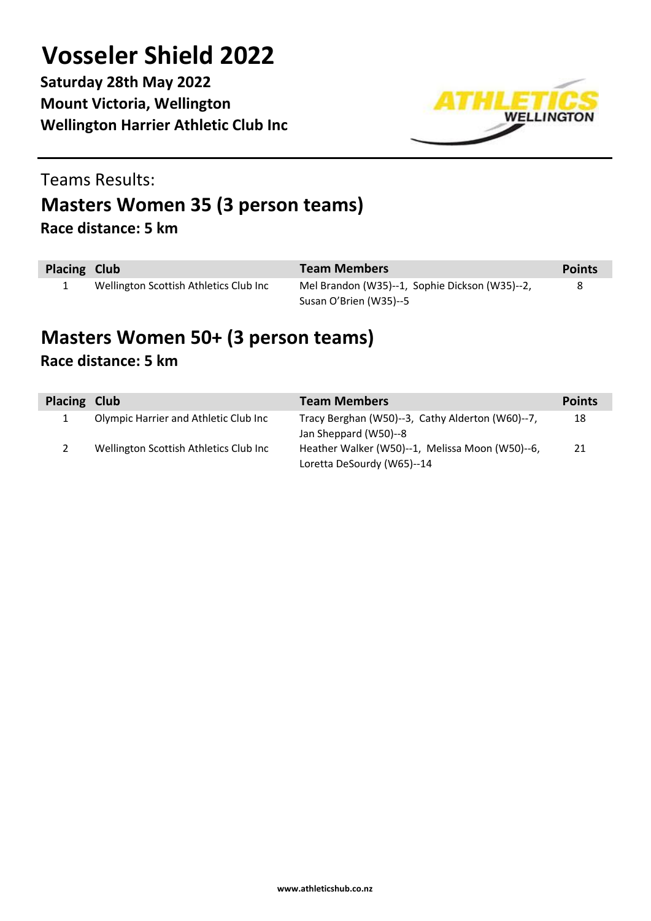**Saturday 28th May 2022 Mount Victoria, Wellington Wellington Harrier Athletic Club Inc**



#### Teams Results:

## **Masters Women 35 (3 person teams)**

**Race distance: 5 km**

| Placing Club |                                        | <b>Team Members</b>                            | <b>Points</b> |
|--------------|----------------------------------------|------------------------------------------------|---------------|
|              | Wellington Scottish Athletics Club Inc | Mel Brandon (W35)--1, Sophie Dickson (W35)--2, | 8             |
|              |                                        | Susan O'Brien (W35)--5                         |               |

#### **Masters Women 50+ (3 person teams) Race distance: 5 km**

| Placing Club |                                        | <b>Team Members</b>                                                      | <b>Points</b> |
|--------------|----------------------------------------|--------------------------------------------------------------------------|---------------|
|              | Olympic Harrier and Athletic Club Inc  | Tracy Berghan (W50)--3, Cathy Alderton (W60)--7,                         | 18            |
|              | Wellington Scottish Athletics Club Inc | Jan Sheppard (W50)--8<br>Heather Walker (W50)--1, Melissa Moon (W50)--6, | 21            |
|              |                                        | Loretta DeSourdy (W65)--14                                               |               |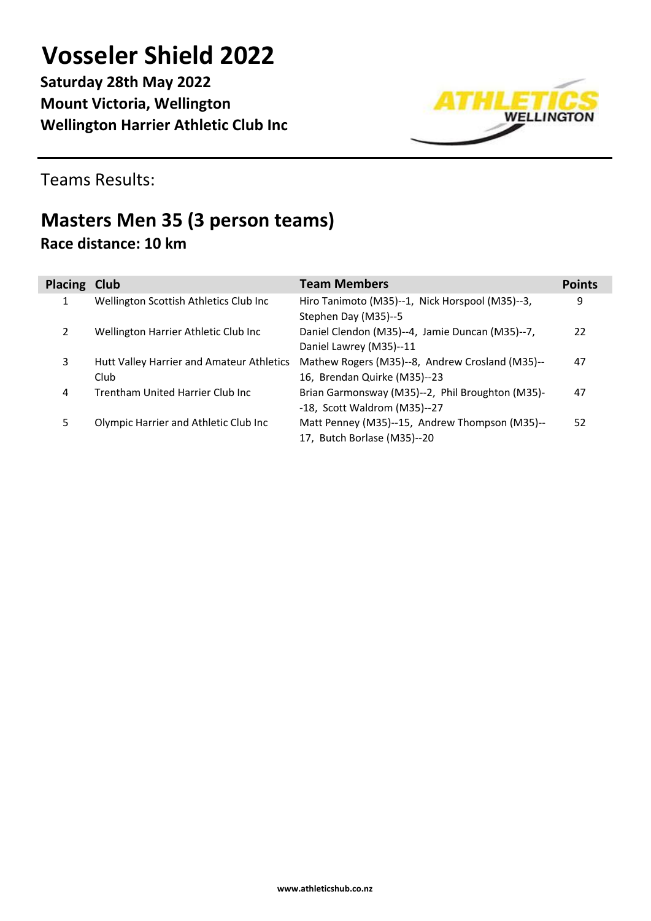**Saturday 28th May 2022 Mount Victoria, Wellington Wellington Harrier Athletic Club Inc**



Teams Results:

### **Masters Men 35 (3 person teams) Race distance: 10 km**

| Placing Club |                                           | <b>Team Members</b>                              | <b>Points</b> |
|--------------|-------------------------------------------|--------------------------------------------------|---------------|
| 1            | Wellington Scottish Athletics Club Inc    | Hiro Tanimoto (M35)--1, Nick Horspool (M35)--3,  | 9             |
|              |                                           | Stephen Day (M35)--5                             |               |
| 2            | Wellington Harrier Athletic Club Inc      | Daniel Clendon (M35)--4, Jamie Duncan (M35)--7,  | 22            |
|              |                                           | Daniel Lawrey (M35)--11                          |               |
| 3            | Hutt Valley Harrier and Amateur Athletics | Mathew Rogers (M35)--8, Andrew Crosland (M35)--  | 47            |
|              | Club                                      | 16, Brendan Quirke (M35)--23                     |               |
| 4            | Trentham United Harrier Club Inc.         | Brian Garmonsway (M35)--2, Phil Broughton (M35)- | 47            |
|              |                                           | -18, Scott Waldrom (M35)--27                     |               |
| 5            | Olympic Harrier and Athletic Club Inc     | Matt Penney (M35)--15, Andrew Thompson (M35)--   | 52            |
|              |                                           | 17, Butch Borlase (M35)--20                      |               |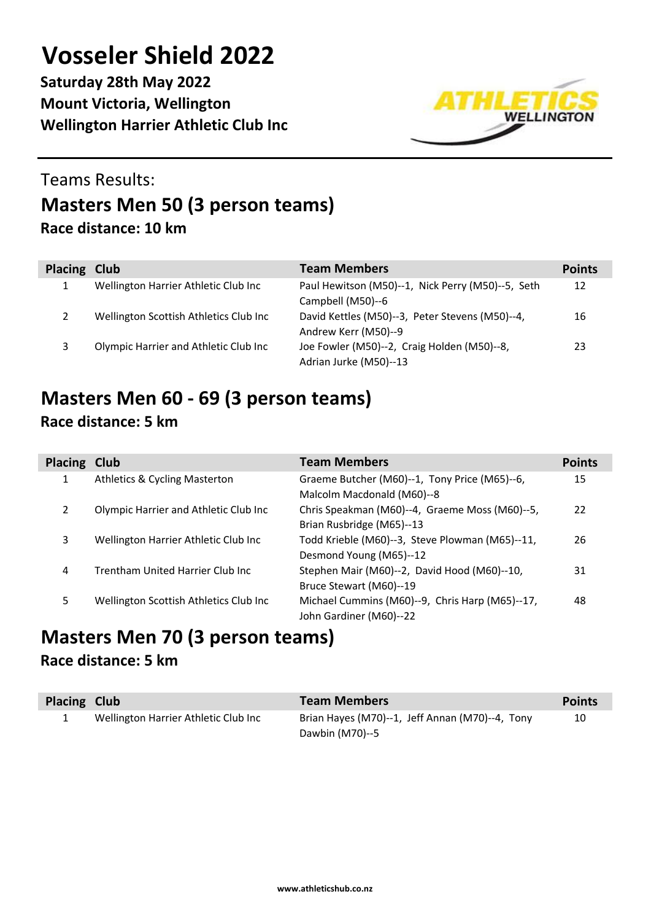**Saturday 28th May 2022 Mount Victoria, Wellington Wellington Harrier Athletic Club Inc**



### Teams Results: **Masters Men 50 (3 person teams) Race distance: 10 km**

| Placing Club |                                        | <b>Team Members</b>                                                     | <b>Points</b> |
|--------------|----------------------------------------|-------------------------------------------------------------------------|---------------|
|              | Wellington Harrier Athletic Club Inc   | Paul Hewitson (M50)--1, Nick Perry (M50)--5, Seth<br>Campbell (M50)--6  | 12            |
|              | Wellington Scottish Athletics Club Inc | David Kettles (M50)--3, Peter Stevens (M50)--4,<br>Andrew Kerr (M50)--9 | 16            |
|              | Olympic Harrier and Athletic Club Inc  | Joe Fowler (M50)--2, Craig Holden (M50)--8,<br>Adrian Jurke (M50)--13   | 23            |

# **Masters Men 60 - 69 (3 person teams)**

|  | Race distance: 5 km |  |  |
|--|---------------------|--|--|
|--|---------------------|--|--|

| <b>Placing Club</b> |                                          | <b>Team Members</b>                                                         | <b>Points</b> |
|---------------------|------------------------------------------|-----------------------------------------------------------------------------|---------------|
| 1                   | <b>Athletics &amp; Cycling Masterton</b> | Graeme Butcher (M60)--1, Tony Price (M65)--6,<br>Malcolm Macdonald (M60)--8 | 15            |
| $\mathcal{P}$       | Olympic Harrier and Athletic Club Inc    | Chris Speakman (M60)--4, Graeme Moss (M60)--5,<br>Brian Rusbridge (M65)--13 | 22            |
| 3                   | Wellington Harrier Athletic Club Inc     | Todd Krieble (M60)--3, Steve Plowman (M65)--11,<br>Desmond Young (M65)--12  | 26            |
| 4                   | Trentham United Harrier Club Inc         | Stephen Mair (M60)--2, David Hood (M60)--10,<br>Bruce Stewart (M60)--19     | 31            |
| 5                   | Wellington Scottish Athletics Club Inc   | Michael Cummins (M60)--9, Chris Harp (M65)--17,<br>John Gardiner (M60)--22  | 48            |

## **Masters Men 70 (3 person teams)**

#### **Race distance: 5 km**

| Placing Club |                                      | <b>Team Members</b>                             | <b>Points</b> |
|--------------|--------------------------------------|-------------------------------------------------|---------------|
|              | Wellington Harrier Athletic Club Inc | Brian Hayes (M70)--1, Jeff Annan (M70)--4, Tony | 10            |
|              |                                      | Dawbin (M70)--5                                 |               |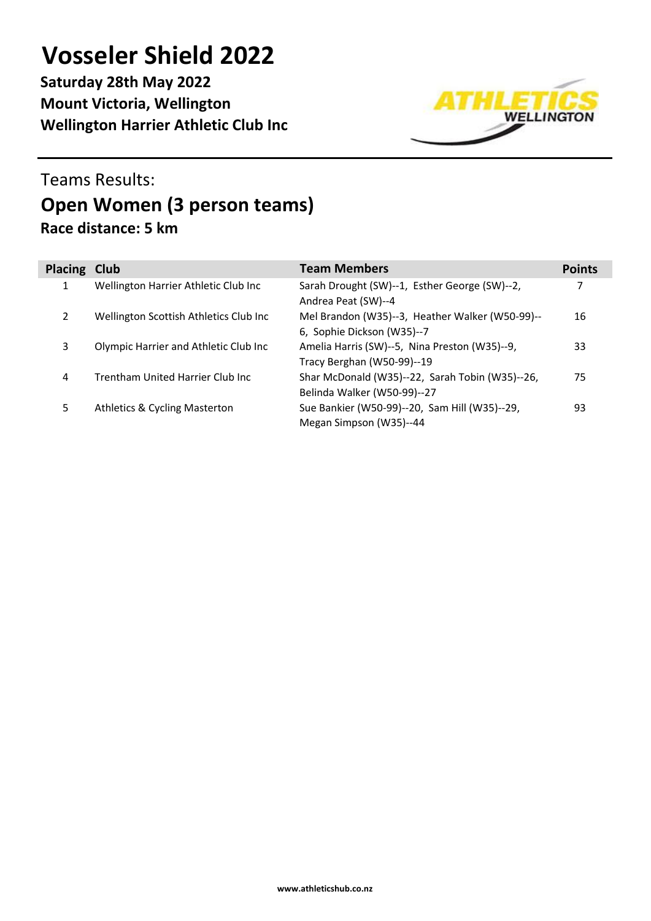**Saturday 28th May 2022 Mount Victoria, Wellington Wellington Harrier Athletic Club Inc**



### Teams Results: **Open Women (3 person teams) Race distance: 5 km**

| <b>Placing Club</b> |                                        | <b>Team Members</b>                                                            | <b>Points</b> |
|---------------------|----------------------------------------|--------------------------------------------------------------------------------|---------------|
| 1                   | Wellington Harrier Athletic Club Inc   | Sarah Drought (SW)--1, Esther George (SW)--2,<br>Andrea Peat (SW)--4           | 7             |
| $\mathcal{P}$       | Wellington Scottish Athletics Club Inc | Mel Brandon (W35)--3, Heather Walker (W50-99)--<br>6, Sophie Dickson (W35)--7  | 16            |
| 3                   | Olympic Harrier and Athletic Club Inc  | Amelia Harris (SW)--5, Nina Preston (W35)--9,<br>Tracy Berghan (W50-99)--19    | 33            |
| 4                   | Trentham United Harrier Club Inc       | Shar McDonald (W35)--22, Sarah Tobin (W35)--26,<br>Belinda Walker (W50-99)--27 | 75            |
| 5                   | Athletics & Cycling Masterton          | Sue Bankier (W50-99)--20, Sam Hill (W35)--29,<br>Megan Simpson (W35)--44       | 93            |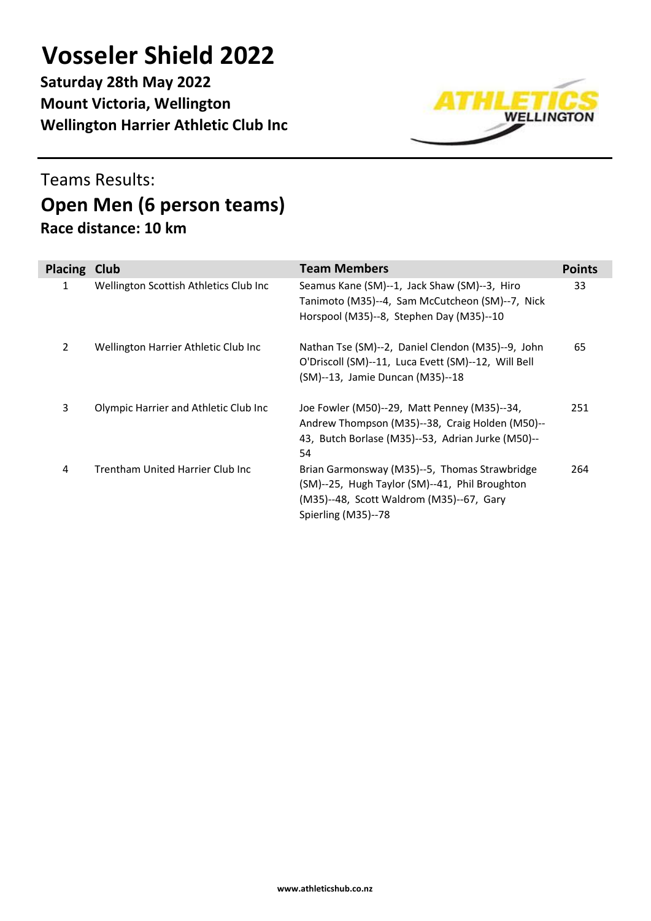**Saturday 28th May 2022 Mount Victoria, Wellington Wellington Harrier Athletic Club Inc**



### Teams Results: **Open Men (6 person teams) Race distance: 10 km**

| <b>Placing</b> | Club                                     | <b>Team Members</b>                                                                                                                                                | <b>Points</b> |
|----------------|------------------------------------------|--------------------------------------------------------------------------------------------------------------------------------------------------------------------|---------------|
| 1              | Wellington Scottish Athletics Club Inc   | Seamus Kane (SM)--1, Jack Shaw (SM)--3, Hiro<br>Tanimoto (M35)--4, Sam McCutcheon (SM)--7, Nick<br>Horspool (M35)--8, Stephen Day (M35)--10                        | 33            |
| 2              | Wellington Harrier Athletic Club Inc     | Nathan Tse (SM)--2, Daniel Clendon (M35)--9, John<br>O'Driscoll (SM)--11, Luca Evett (SM)--12, Will Bell<br>(SM)--13, Jamie Duncan (M35)--18                       | 65            |
| 3              | Olympic Harrier and Athletic Club Inc    | Joe Fowler (M50)--29, Matt Penney (M35)--34,<br>Andrew Thompson (M35)--38, Craig Holden (M50)--<br>43, Butch Borlase (M35)--53, Adrian Jurke (M50)--<br>54         | 251           |
| 4              | <b>Trentham United Harrier Club Inc.</b> | Brian Garmonsway (M35)--5, Thomas Strawbridge<br>(SM)--25, Hugh Taylor (SM)--41, Phil Broughton<br>(M35)--48, Scott Waldrom (M35)--67, Gary<br>Spierling (M35)--78 | 264           |